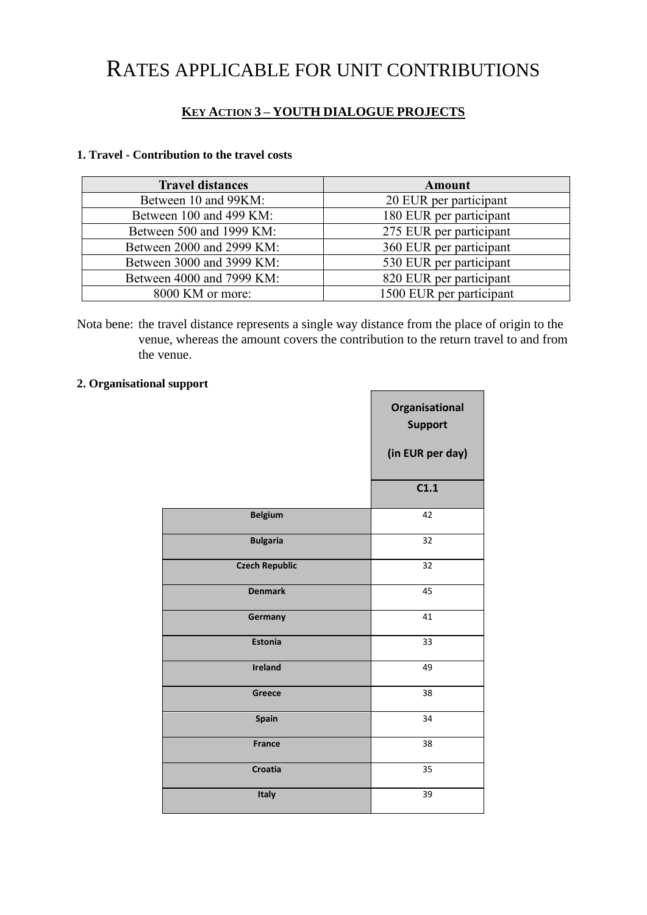## RATES APPLICABLE FOR UNIT CONTRIBUTIONS

## **KEY ACTION 3 – YOUTH DIALOGUE PROJECTS**

## **1. Travel - Contribution to the travel costs**

| <b>Travel distances</b>   | Amount                   |
|---------------------------|--------------------------|
| Between 10 and 99KM:      | 20 EUR per participant   |
| Between 100 and 499 KM:   | 180 EUR per participant  |
| Between 500 and 1999 KM:  | 275 EUR per participant  |
| Between 2000 and 2999 KM: | 360 EUR per participant  |
| Between 3000 and 3999 KM: | 530 EUR per participant  |
| Between 4000 and 7999 KM: | 820 EUR per participant  |
| 8000 KM or more:          | 1500 EUR per participant |

Nota bene: the travel distance represents a single way distance from the place of origin to the venue, whereas the amount covers the contribution to the return travel to and from the venue.

 $\blacksquare$ 

## **2. Organisational support**

|                       | Organisational<br><b>Support</b> |
|-----------------------|----------------------------------|
|                       | (in EUR per day)                 |
|                       | C1.1                             |
| <b>Belgium</b>        | 42                               |
| <b>Bulgaria</b>       | 32                               |
| <b>Czech Republic</b> | 32                               |
| <b>Denmark</b>        | 45                               |
| Germany               | 41                               |
| <b>Estonia</b>        | 33                               |
| <b>Ireland</b>        | 49                               |
| Greece                | 38                               |
| Spain                 | 34                               |
| <b>France</b>         | 38                               |
| Croatia               | 35                               |
| Italy                 | 39                               |